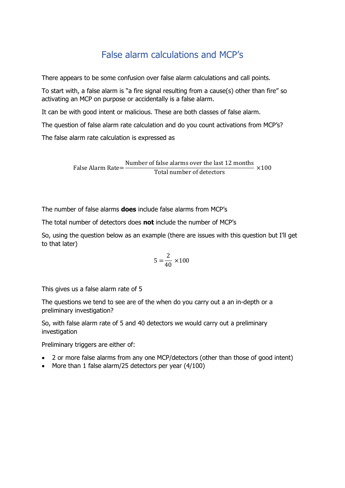## False alarm calculations and MCP's

There appears to be some confusion over false alarm calculations and call points.

To start with, a false alarm is "a fire signal resulting from a cause(s) other than fire" so activating an MCP on purpose or accidentally is a false alarm.

It can be with good intent or malicious. These are both classes of false alarm.

The question of false alarm rate calculation and do you count activations from MCP's?

The false alarm rate calculation is expressed as

False Alarm Rate= Number of false alarms over the last 12 months Total number of detectors  $\times 100$ 

The number of false alarms **does** include false alarms from MCP's

The total number of detectors does **not** include the number of MCP's

So, using the question below as an example (there are issues with this question but I'll get to that later)

$$
5 = \frac{2}{40} \times 100
$$

This gives us a false alarm rate of 5

The questions we tend to see are of the when do you carry out a an in-depth or a preliminary investigation?

So, with false alarm rate of 5 and 40 detectors we would carry out a preliminary investigation

Preliminary triggers are either of:

- 2 or more false alarms from any one MCP/detectors (other than those of good intent)
- More than 1 false alarm/25 detectors per year (4/100)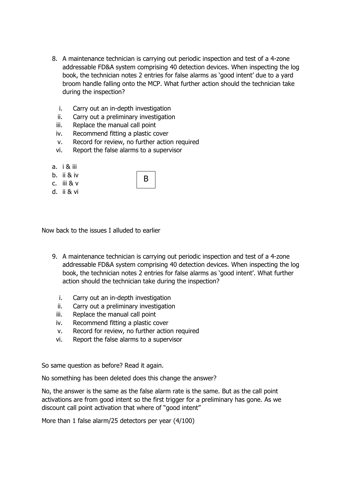- 8. A maintenance technician is carrying out periodic inspection and test of a 4-zone addressable FD&A system comprising 40 detection devices. When inspecting the log book, the technician notes 2 entries for false alarms as 'good intent' due to a yard broom handle falling onto the MCP. What further action should the technician take during the inspection?
	- i. Carry out an in-depth investigation
	- ii. Carry out a preliminary investigation
	- iii. Replace the manual call point
	- iv. Recommend fitting a plastic cover
	- v. Record for review, no further action required

B

- vi. Report the false alarms to a supervisor
- a. i & iii
- b. ii & iv
- c. iii & v
- d. ii & vi

| Now back to the issues I alluded to earlier |  |  |  |  |
|---------------------------------------------|--|--|--|--|
|---------------------------------------------|--|--|--|--|

- 9. A maintenance technician is carrying out periodic inspection and test of a 4-zone addressable FD&A system comprising 40 detection devices. When inspecting the log book, the technician notes 2 entries for false alarms as 'good intent'. What further action should the technician take during the inspection?
	- i. Carry out an in-depth investigation
	- ii. Carry out a preliminary investigation
	- iii. Replace the manual call point
	- iv. Recommend fitting a plastic cover
	- v. Record for review, no further action required
	- vi. Report the false alarms to a supervisor

So same question as before? Read it again.

No something has been deleted does this change the answer?

No, the answer is the same as the false alarm rate is the same. But as the call point activations are from good intent so the first trigger for a preliminary has gone. As we discount call point activation that where of "good intent"

More than 1 false alarm/25 detectors per year (4/100)